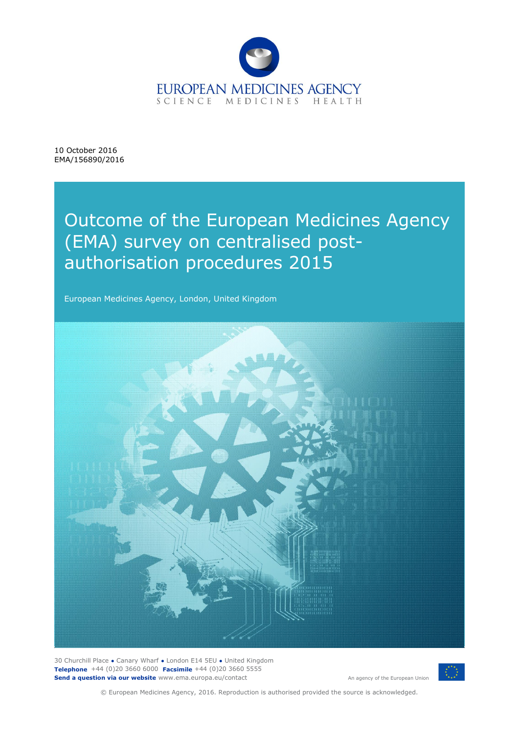

10 October 2016 EMA/156890/2016

# Outcome of the European Medicines Agency (EMA) survey on centralised postauthorisation procedures 2015

European Medicines Agency, London, United Kingdom



30 Churchill Place **●** Canary Wharf **●** London E14 5EU **●** United Kingdom **Telephone** +44 (0)20 3660 6000 **Facsimile** +44 (0)20 3660 5555 **Send a question via our website** www.ema.europa.eu/contact



© European Medicines Agency, 2016. Reproduction is authorised provided the source is acknowledged.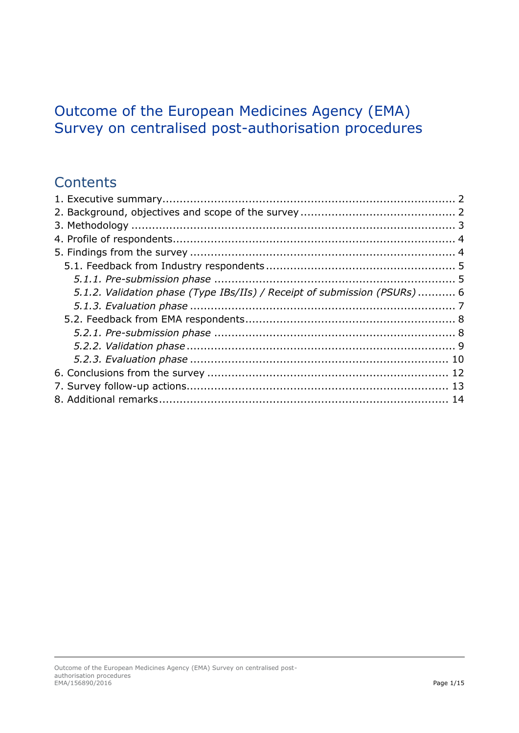## Outcome of the European Medicines Agency (EMA) Survey on centralised post-authorisation procedures

## **Contents**

| 5.1.2. Validation phase (Type IBs/IIs) / Receipt of submission (PSURs) 6 |  |
|--------------------------------------------------------------------------|--|
|                                                                          |  |
|                                                                          |  |
|                                                                          |  |
|                                                                          |  |
|                                                                          |  |
|                                                                          |  |
|                                                                          |  |
|                                                                          |  |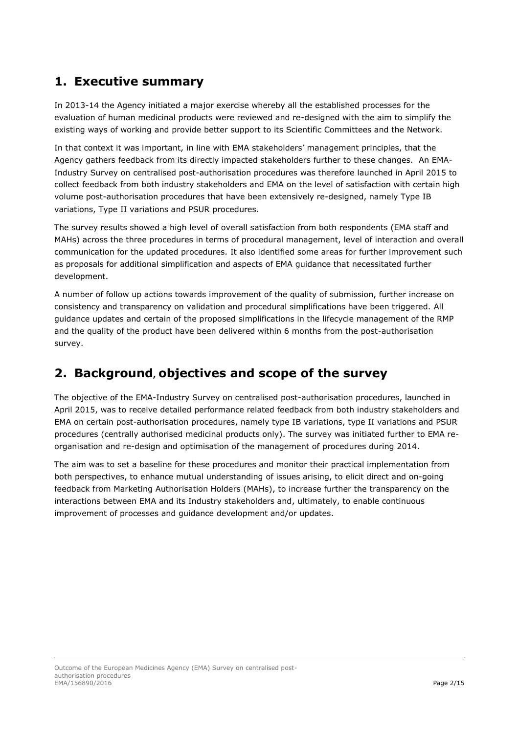## <span id="page-2-0"></span>**1. Executive summary**

In 2013-14 the Agency initiated a major exercise whereby all the established processes for the evaluation of human medicinal products were reviewed and re-designed with the aim to simplify the existing ways of working and provide better support to its Scientific Committees and the Network.

In that context it was important, in line with EMA stakeholders' management principles, that the Agency gathers feedback from its directly impacted stakeholders further to these changes. An EMA-Industry Survey on centralised post-authorisation procedures was therefore launched in April 2015 to collect feedback from both industry stakeholders and EMA on the level of satisfaction with certain high volume post-authorisation procedures that have been extensively re-designed, namely Type IB variations, Type II variations and PSUR procedures.

The survey results showed a high level of overall satisfaction from both respondents (EMA staff and MAHs) across the three procedures in terms of procedural management, level of interaction and overall communication for the updated procedures. It also identified some areas for further improvement such as proposals for additional simplification and aspects of EMA guidance that necessitated further development.

A number of follow up actions towards improvement of the quality of submission, further increase on consistency and transparency on validation and procedural simplifications have been triggered. All guidance updates and certain of the proposed simplifications in the lifecycle management of the RMP and the quality of the product have been delivered within 6 months from the post-authorisation survey.

## <span id="page-2-1"></span>**2. Background, objectives and scope of the survey**

The objective of the EMA-Industry Survey on centralised post-authorisation procedures, launched in April 2015, was to receive detailed performance related feedback from both industry stakeholders and EMA on certain post-authorisation procedures, namely type IB variations, type II variations and PSUR procedures (centrally authorised medicinal products only). The survey was initiated further to EMA reorganisation and re-design and optimisation of the management of procedures during 2014.

The aim was to set a baseline for these procedures and monitor their practical implementation from both perspectives, to enhance mutual understanding of issues arising, to elicit direct and on-going feedback from Marketing Authorisation Holders (MAHs), to increase further the transparency on the interactions between EMA and its Industry stakeholders and, ultimately, to enable continuous improvement of processes and guidance development and/or updates.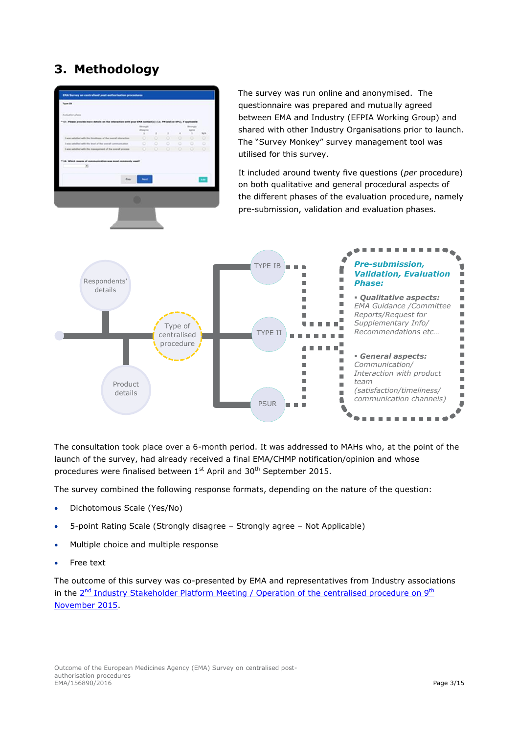## <span id="page-3-0"></span>**3. Methodology**



The survey was run online and anonymised. The questionnaire was prepared and mutually agreed between EMA and Industry (EFPIA Working Group) and shared with other Industry Organisations prior to launch. The "Survey Monkey" survey management tool was utilised for this survey.

It included around twenty five questions (*per* procedure) on both qualitative and general procedural aspects of the different phases of the evaluation procedure, namely pre-submission, validation and evaluation phases.



The consultation took place over a 6-month period. It was addressed to MAHs who, at the point of the launch of the survey, had already received a final EMA/CHMP notification/opinion and whose procedures were finalised between 1<sup>st</sup> April and 30<sup>th</sup> September 2015.

The survey combined the following response formats, depending on the nature of the question:

- Dichotomous Scale (Yes/No)
- 5-point Rating Scale (Strongly disagree Strongly agree Not Applicable)
- Multiple choice and multiple response
- Free text

The outcome of this survey was co-presented by EMA and representatives from Industry associations in the 2<sup>nd</sup> [Industry Stakeholder Platform Meeting / Operation of the](http://www.ema.europa.eu/ema/index.jsp?curl=pages/news_and_events/events/2015/10/event_detail_001233.jsp&mid=WC0b01ac058004d5c3) centralised procedure on 9<sup>th</sup> [November 2015.](http://www.ema.europa.eu/ema/index.jsp?curl=pages/news_and_events/events/2015/10/event_detail_001233.jsp&mid=WC0b01ac058004d5c3)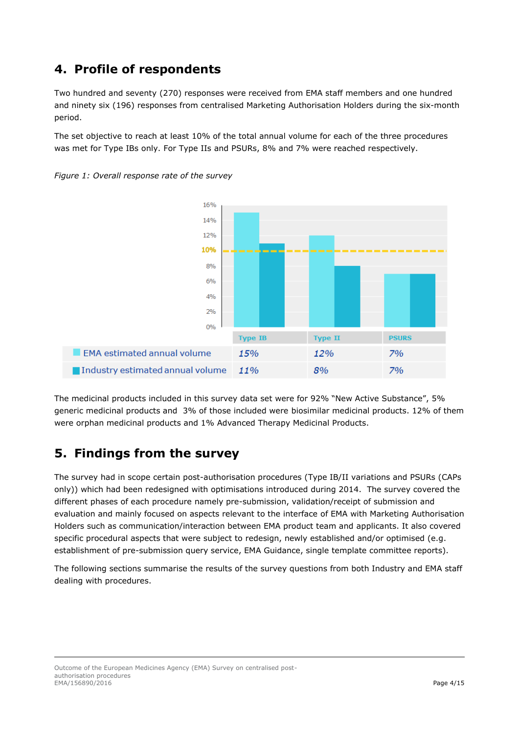## <span id="page-4-0"></span>**4. Profile of respondents**

Two hundred and seventy (270) responses were received from EMA staff members and one hundred and ninety six (196) responses from centralised Marketing Authorisation Holders during the six-month period.

The set objective to reach at least 10% of the total annual volume for each of the three procedures was met for Type IBs only. For Type IIs and PSURs, 8% and 7% were reached respectively.



*Figure 1: Overall response rate of the survey* 

The medicinal products included in this survey data set were for 92% "New Active Substance", 5% generic medicinal products and 3% of those included were biosimilar medicinal products. 12% of them were orphan medicinal products and 1% Advanced Therapy Medicinal Products.

15%

11%

## <span id="page-4-1"></span>**5. Findings from the survey**

EMA estimated annual volume

Industry estimated annual volume

The survey had in scope certain post-authorisation procedures (Type IB/II variations and PSURs (CAPs only)) which had been redesigned with optimisations introduced during 2014. The survey covered the different phases of each procedure namely pre-submission, validation/receipt of submission and evaluation and mainly focused on aspects relevant to the interface of EMA with Marketing Authorisation Holders such as communication/interaction between EMA product team and applicants. It also covered specific procedural aspects that were subject to redesign, newly established and/or optimised (e.g. establishment of pre-submission query service, EMA Guidance, single template committee reports).

The following sections summarise the results of the survey questions from both Industry and EMA staff dealing with procedures.

Outcome of the European Medicines Agency (EMA) Survey on centralised postauthorisation procedures EMA/156890/2016 **Page 4/15** 

7%

7%

12% 8%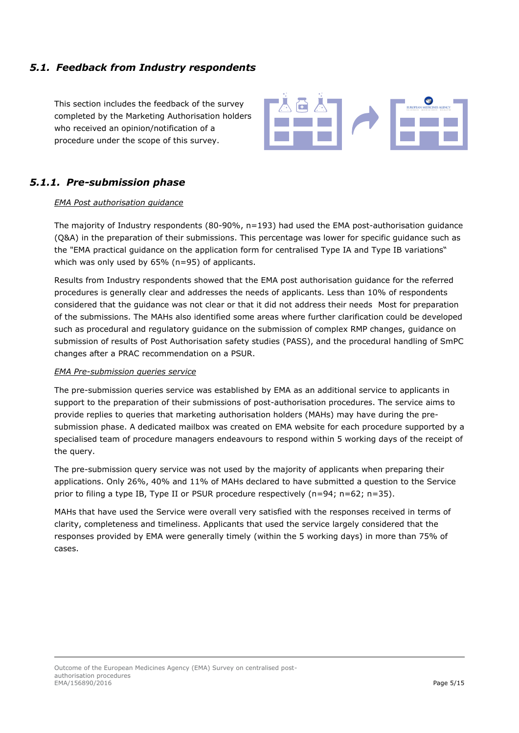### <span id="page-5-0"></span>*5.1. Feedback from Industry respondents*

This section includes the feedback of the survey completed by the Marketing Authorisation holders who received an opinion/notification of a procedure under the scope of this survey.



### <span id="page-5-1"></span>*5.1.1. Pre-submission phase*

### *EMA Post authorisation guidance*

The majority of Industry respondents (80-90%, n=193) had used the EMA post-authorisation guidance (Q&A) in the preparation of their submissions. This percentage was lower for specific guidance such as the "EMA practical guidance on the application form for centralised Type IA and Type IB variations" which was only used by 65% (n=95) of applicants.

Results from Industry respondents showed that the EMA post authorisation guidance for the referred procedures is generally clear and addresses the needs of applicants. Less than 10% of respondents considered that the guidance was not clear or that it did not address their needs Most for preparation of the submissions. The MAHs also identified some areas where further clarification could be developed such as procedural and regulatory guidance on the submission of complex RMP changes, guidance on submission of results of Post Authorisation safety studies (PASS), and the procedural handling of SmPC changes after a PRAC recommendation on a PSUR.

#### *EMA Pre-submission queries service*

The pre-submission queries service was established by EMA as an additional service to applicants in support to the preparation of their submissions of post-authorisation procedures. The service aims to provide replies to queries that marketing authorisation holders (MAHs) may have during the presubmission phase. A dedicated mailbox was created on EMA website for each procedure supported by a specialised team of procedure managers endeavours to respond within 5 working days of the receipt of the query.

The pre-submission query service was not used by the majority of applicants when preparing their applications. Only 26%, 40% and 11% of MAHs declared to have submitted a question to the Service prior to filing a type IB, Type II or PSUR procedure respectively (n=94; n=62; n=35).

MAHs that have used the Service were overall very satisfied with the responses received in terms of clarity, completeness and timeliness. Applicants that used the service largely considered that the responses provided by EMA were generally timely (within the 5 working days) in more than 75% of cases.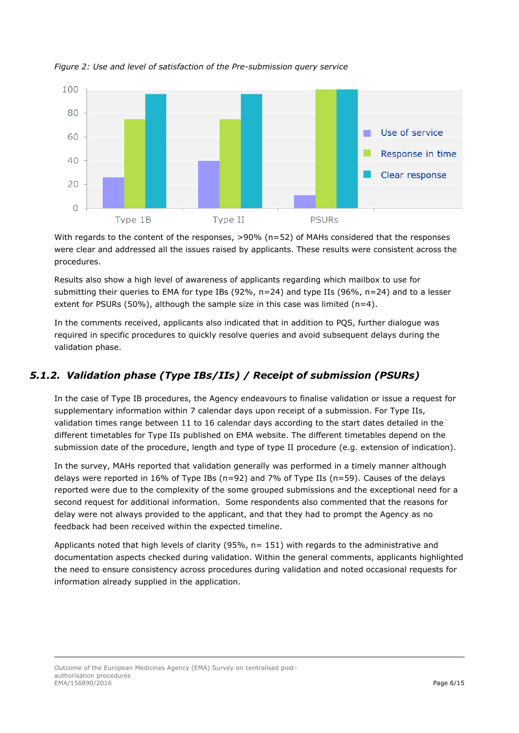

*Figure 2: Use and level of satisfaction of the Pre-submission query service*

With regards to the content of the responses, >90% (n=52) of MAHs considered that the responses were clear and addressed all the issues raised by applicants. These results were consistent across the procedures.

Results also show a high level of awareness of applicants regarding which mailbox to use for submitting their queries to EMA for type IBs (92%, n=24) and type IIs (96%, n=24) and to a lesser extent for PSURs (50%), although the sample size in this case was limited (n=4).

In the comments received, applicants also indicated that in addition to PQS, further dialogue was required in specific procedures to quickly resolve queries and avoid subsequent delays during the validation phase.

## <span id="page-6-0"></span>*5.1.2. Validation phase (Type IBs/IIs) / Receipt of submission (PSURs)*

In the case of Type IB procedures, the Agency endeavours to finalise validation or issue a request for supplementary information within 7 calendar days upon receipt of a submission. For Type IIs, validation times range between 11 to 16 calendar days according to the start dates detailed in the different timetables for Type IIs published on EMA website. The different timetables depend on the submission date of the procedure, length and type of type II procedure (e.g. extension of indication).

In the survey, MAHs reported that validation generally was performed in a timely manner although delays were reported in 16% of Type IBs (n=92) and 7% of Type IIs (n=59). Causes of the delays reported were due to the complexity of the some grouped submissions and the exceptional need for a second request for additional information. Some respondents also commented that the reasons for delay were not always provided to the applicant, and that they had to prompt the Agency as no feedback had been received within the expected timeline.

Applicants noted that high levels of clarity (95%, n= 151) with regards to the administrative and documentation aspects checked during validation. Within the general comments, applicants highlighted the need to ensure consistency across procedures during validation and noted occasional requests for information already supplied in the application.

Outcome of the European Medicines Agency (EMA) Survey on centralised postauthorisation procedures EMA/156890/2016 **Page 6/15**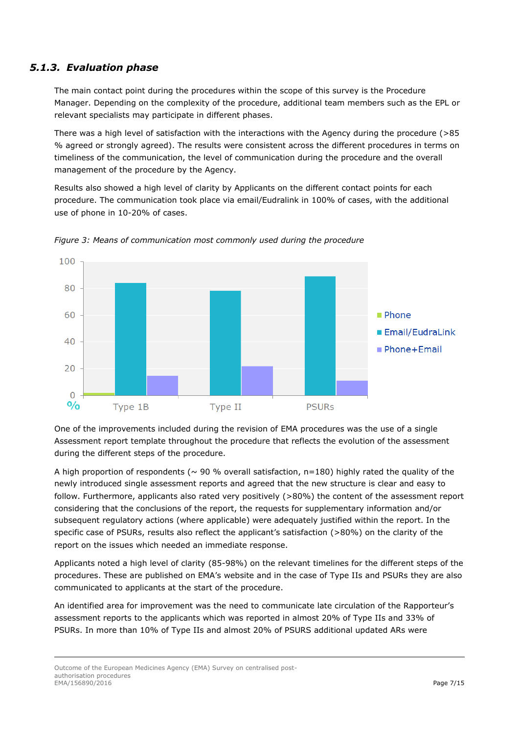### <span id="page-7-0"></span>*5.1.3. Evaluation phase*

The main contact point during the procedures within the scope of this survey is the Procedure Manager. Depending on the complexity of the procedure, additional team members such as the EPL or relevant specialists may participate in different phases.

There was a high level of satisfaction with the interactions with the Agency during the procedure (>85 % agreed or strongly agreed). The results were consistent across the different procedures in terms on timeliness of the communication, the level of communication during the procedure and the overall management of the procedure by the Agency.

Results also showed a high level of clarity by Applicants on the different contact points for each procedure. The communication took place via email/Eudralink in 100% of cases, with the additional use of phone in 10-20% of cases.



*Figure 3: Means of communication most commonly used during the procedure*

One of the improvements included during the revision of EMA procedures was the use of a single Assessment report template throughout the procedure that reflects the evolution of the assessment during the different steps of the procedure.

A high proportion of respondents ( $\sim$  90 % overall satisfaction, n=180) highly rated the quality of the newly introduced single assessment reports and agreed that the new structure is clear and easy to follow. Furthermore, applicants also rated very positively (>80%) the content of the assessment report considering that the conclusions of the report, the requests for supplementary information and/or subsequent regulatory actions (where applicable) were adequately justified within the report. In the specific case of PSURs, results also reflect the applicant's satisfaction (>80%) on the clarity of the report on the issues which needed an immediate response.

Applicants noted a high level of clarity (85-98%) on the relevant timelines for the different steps of the procedures. These are published on EMA's website and in the case of Type IIs and PSURs they are also communicated to applicants at the start of the procedure.

An identified area for improvement was the need to communicate late circulation of the Rapporteur's assessment reports to the applicants which was reported in almost 20% of Type IIs and 33% of PSURs. In more than 10% of Type IIs and almost 20% of PSURS additional updated ARs were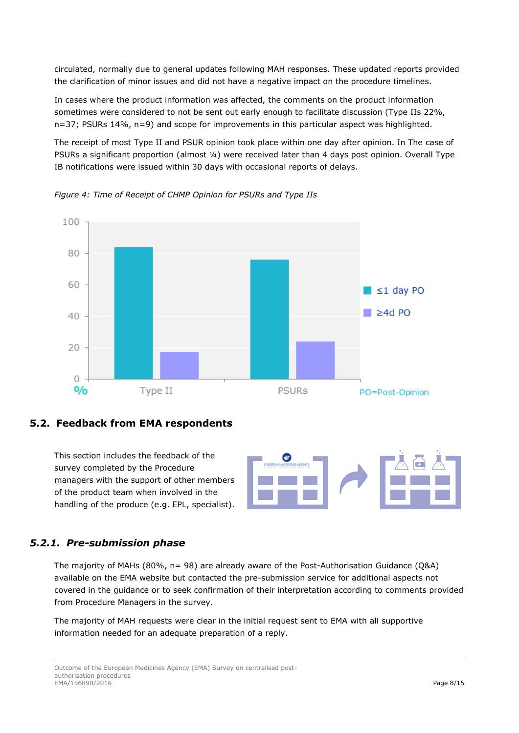circulated, normally due to general updates following MAH responses. These updated reports provided the clarification of minor issues and did not have a negative impact on the procedure timelines.

In cases where the product information was affected, the comments on the product information sometimes were considered to not be sent out early enough to facilitate discussion (Type IIs 22%, n=37; PSURs 14%, n=9) and scope for improvements in this particular aspect was highlighted.

The receipt of most Type II and PSUR opinion took place within one day after opinion. In The case of PSURs a significant proportion (almost 1/4) were received later than 4 days post opinion. Overall Type IB notifications were issued within 30 days with occasional reports of delays.



*Figure 4: Time of Receipt of CHMP Opinion for PSURs and Type IIs*

### <span id="page-8-0"></span>**5.2. Feedback from EMA respondents**

This section includes the feedback of the survey completed by the Procedure managers with the support of other members of the product team when involved in the handling of the produce (e.g. EPL, specialist).



### <span id="page-8-1"></span>*5.2.1. Pre-submission phase*

The majority of MAHs (80%, n= 98) are already aware of the Post-Authorisation Guidance (Q&A) available on the EMA website but contacted the pre-submission service for additional aspects not covered in the guidance or to seek confirmation of their interpretation according to comments provided from Procedure Managers in the survey.

The majority of MAH requests were clear in the initial request sent to EMA with all supportive information needed for an adequate preparation of a reply.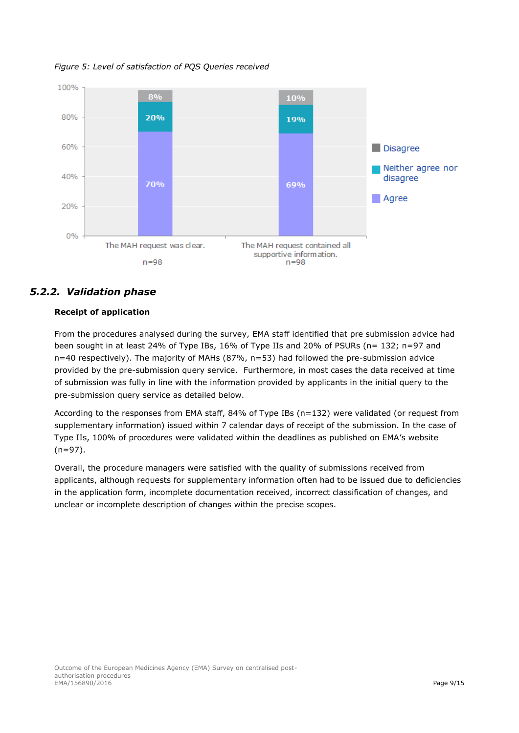*Figure 5: Level of satisfaction of PQS Queries received*



### <span id="page-9-0"></span>*5.2.2. Validation phase*

### **Receipt of application**

From the procedures analysed during the survey, EMA staff identified that pre submission advice had been sought in at least 24% of Type IBs, 16% of Type IIs and 20% of PSURs (n= 132; n=97 and n=40 respectively). The majority of MAHs (87%, n=53) had followed the pre-submission advice provided by the pre-submission query service. Furthermore, in most cases the data received at time of submission was fully in line with the information provided by applicants in the initial query to the pre-submission query service as detailed below.

According to the responses from EMA staff, 84% of Type IBs (n=132) were validated (or request from supplementary information) issued within 7 calendar days of receipt of the submission. In the case of Type IIs, 100% of procedures were validated within the deadlines as published on EMA's website (n=97).

Overall, the procedure managers were satisfied with the quality of submissions received from applicants, although requests for supplementary information often had to be issued due to deficiencies in the application form, incomplete documentation received, incorrect classification of changes, and unclear or incomplete description of changes within the precise scopes.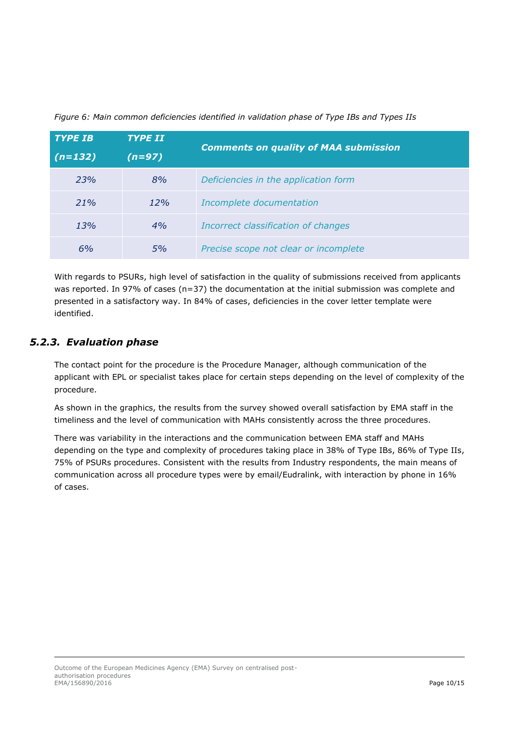| <b>TYPE IB</b> | <b>TYPE II</b> | <b>Comments on quality of MAA submission</b> |
|----------------|----------------|----------------------------------------------|
| $(n=132)$      | $(n=97)$       |                                              |
| 23%            | 8%             | Deficiencies in the application form         |
| 21%            | 12%            | Incomplete documentation                     |
| 13%            | 4%             | Incorrect classification of changes          |
| 6%             | 5%             | Precise scope not clear or incomplete        |

*Figure 6: Main common deficiencies identified in validation phase of Type IBs and Types IIs*

With regards to PSURs, high level of satisfaction in the quality of submissions received from applicants was reported. In 97% of cases (n=37) the documentation at the initial submission was complete and presented in a satisfactory way. In 84% of cases, deficiencies in the cover letter template were identified.

### <span id="page-10-0"></span>*5.2.3. Evaluation phase*

The contact point for the procedure is the Procedure Manager, although communication of the applicant with EPL or specialist takes place for certain steps depending on the level of complexity of the procedure.

As shown in the graphics, the results from the survey showed overall satisfaction by EMA staff in the timeliness and the level of communication with MAHs consistently across the three procedures.

There was variability in the interactions and the communication between EMA staff and MAHs depending on the type and complexity of procedures taking place in 38% of Type IBs, 86% of Type IIs, 75% of PSURs procedures. Consistent with the results from Industry respondents, the main means of communication across all procedure types were by email/Eudralink, with interaction by phone in 16% of cases.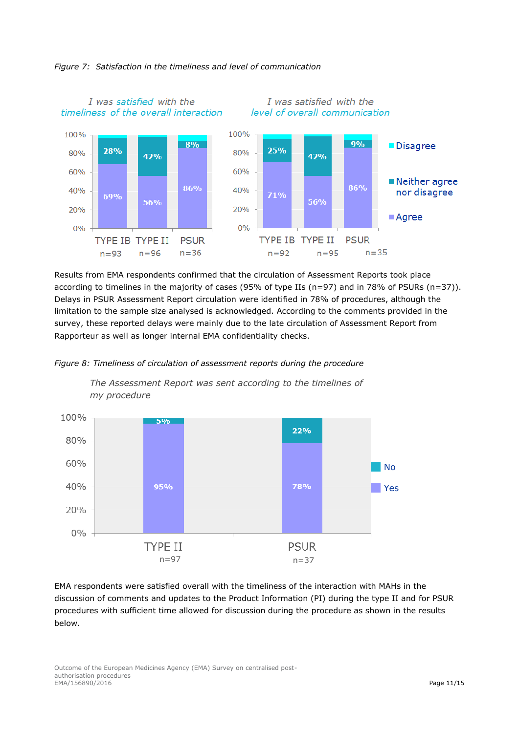

### *Figure 7: Satisfaction in the timeliness and level of communication*

Results from EMA respondents confirmed that the circulation of Assessment Reports took place according to timelines in the majority of cases (95% of type IIs (n=97) and in 78% of PSURs (n=37)). Delays in PSUR Assessment Report circulation were identified in 78% of procedures, although the limitation to the sample size analysed is acknowledged. According to the comments provided in the survey, these reported delays were mainly due to the late circulation of Assessment Report from Rapporteur as well as longer internal EMA confidentiality checks.





*The Assessment Report was sent according to the timelines of my procedure*

EMA respondents were satisfied overall with the timeliness of the interaction with MAHs in the discussion of comments and updates to the Product Information (PI) during the type II and for PSUR procedures with sufficient time allowed for discussion during the procedure as shown in the results below.

Outcome of the European Medicines Agency (EMA) Survey on centralised postauthorisation procedures EMA/156890/2016 **Page 11/15**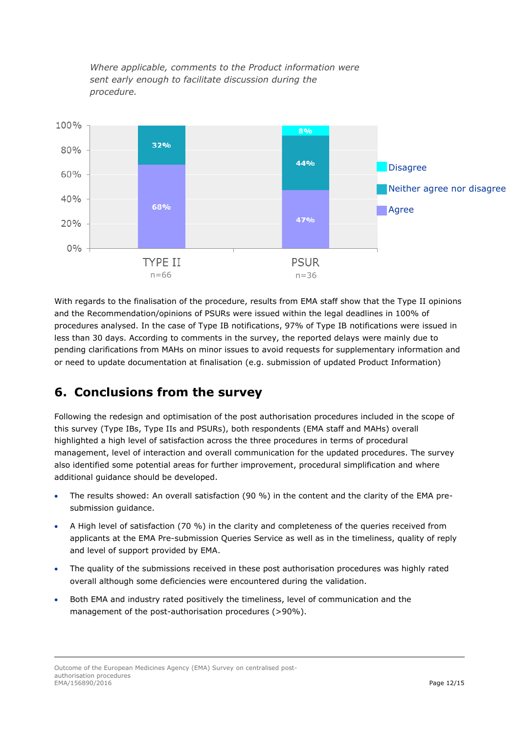*Where applicable, comments to the Product information were sent early enough to facilitate discussion during the procedure.*



With regards to the finalisation of the procedure, results from EMA staff show that the Type II opinions and the Recommendation/opinions of PSURs were issued within the legal deadlines in 100% of procedures analysed. In the case of Type IB notifications, 97% of Type IB notifications were issued in less than 30 days. According to comments in the survey, the reported delays were mainly due to pending clarifications from MAHs on minor issues to avoid requests for supplementary information and or need to update documentation at finalisation (e.g. submission of updated Product Information)

## <span id="page-12-0"></span>**6. Conclusions from the survey**

Following the redesign and optimisation of the post authorisation procedures included in the scope of this survey (Type IBs, Type IIs and PSURs), both respondents (EMA staff and MAHs) overall highlighted a high level of satisfaction across the three procedures in terms of procedural management, level of interaction and overall communication for the updated procedures. The survey also identified some potential areas for further improvement, procedural simplification and where additional guidance should be developed.

- The results showed: An overall satisfaction (90 %) in the content and the clarity of the EMA presubmission guidance.
- A High level of satisfaction (70 %) in the clarity and completeness of the queries received from applicants at the EMA Pre-submission Queries Service as well as in the timeliness, quality of reply and level of support provided by EMA.
- The quality of the submissions received in these post authorisation procedures was highly rated overall although some deficiencies were encountered during the validation.
- Both EMA and industry rated positively the timeliness, level of communication and the management of the post-authorisation procedures (>90%).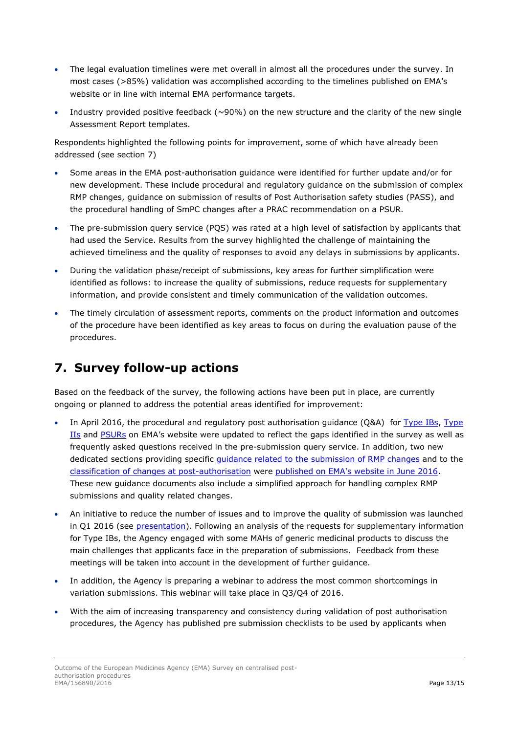- The legal evaluation timelines were met overall in almost all the procedures under the survey. In most cases (>85%) validation was accomplished according to the timelines published on EMA's website or in line with internal EMA performance targets.
- Industry provided positive feedback ( $\sim$ 90%) on the new structure and the clarity of the new single Assessment Report templates.

Respondents highlighted the following points for improvement, some of which have already been addressed (see section 7)

- Some areas in the EMA post-authorisation guidance were identified for further update and/or for new development. These include procedural and regulatory guidance on the submission of complex RMP changes, guidance on submission of results of Post Authorisation safety studies (PASS), and the procedural handling of SmPC changes after a PRAC recommendation on a PSUR.
- The pre-submission query service (PQS) was rated at a high level of satisfaction by applicants that had used the Service. Results from the survey highlighted the challenge of maintaining the achieved timeliness and the quality of responses to avoid any delays in submissions by applicants.
- During the validation phase/receipt of submissions, key areas for further simplification were identified as follows: to increase the quality of submissions, reduce requests for supplementary information, and provide consistent and timely communication of the validation outcomes.
- The timely circulation of assessment reports, comments on the product information and outcomes of the procedure have been identified as key areas to focus on during the evaluation pause of the procedures.

## <span id="page-13-0"></span>**7. Survey follow-up actions**

Based on the feedback of the survey, the following actions have been put in place, are currently ongoing or planned to address the potential areas identified for improvement:

- In April 2016, the procedural and regulatory post authorisation guidance (Q&A) for [Type IBs,](http://www.ema.europa.eu/ema/index.jsp?curl=pages/regulation/q_and_a/q_and_a_detail_000085.jsp&mid=WC0b01ac058013af9c) [Type](http://www.ema.europa.eu/ema/index.jsp?curl=pages/regulation/q_and_a/q_and_a_detail_000026.jsp&mid=WC0b01ac0580023b14)  [IIs](http://www.ema.europa.eu/ema/index.jsp?curl=pages/regulation/q_and_a/q_and_a_detail_000026.jsp&mid=WC0b01ac0580023b14) and [PSURs](http://www.ema.europa.eu/ema/index.jsp?curl=pages/regulation/q_and_a/q_and_a_detail_000041.jsp&mid=WC0b01ac0580023e7d) on EMA's website were updated to reflect the gaps identified in the survey as well as frequently asked questions received in the pre-submission query service. In addition, two new dedicated sections providing specific [guidance related to the submission of RMP changes](http://www.ema.europa.eu/ema/index.jsp?curl=pages/regulation/q_and_a/q_and_a_detail_000171.jsp&mid=WC0b01ac0580a53f5f) and to the [classification of changes at post-authorisation](http://www.ema.europa.eu/ema/index.jsp?curl=pages/regulation/q_and_a/q_and_a_detail_000172.jsp&mid=WC0b01ac0580a53f5e) were [published on EMA's website in June 2016.](http://www.ema.europa.eu/ema/index.jsp?curl=pages/news_and_events/news/2016/06/news_detail_002542.jsp&mid=WC0b01ac058004d5c1) These new guidance documents also include a simplified approach for handling complex RMP submissions and quality related changes.
- An initiative to reduce the number of issues and to improve the quality of submission was launched in Q1 2016 (see [presentation\)](http://www.ema.europa.eu/docs/en_GB/document_library/Presentation/2016/05/WC500206670.pdf). Following an analysis of the requests for supplementary information for Type IBs, the Agency engaged with some MAHs of generic medicinal products to discuss the main challenges that applicants face in the preparation of submissions. Feedback from these meetings will be taken into account in the development of further guidance.
- In addition, the Agency is preparing a webinar to address the most common shortcomings in variation submissions. This webinar will take place in Q3/Q4 of 2016.
- With the aim of increasing transparency and consistency during validation of post authorisation procedures, the Agency has published pre submission checklists to be used by applicants when